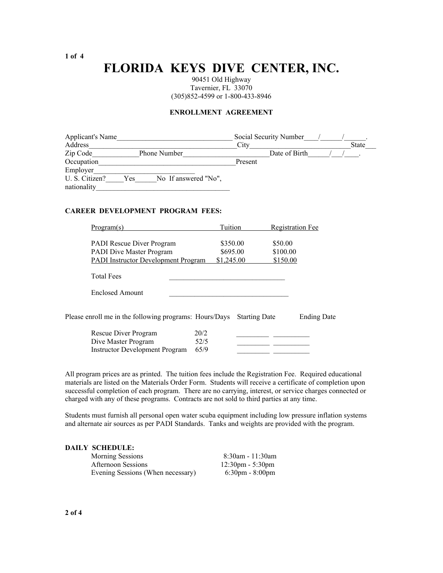### **FLORIDA KEYS DIVE CENTER, INC.**

90451 Old Highway Tavernier, FL 33070 (305)852-4599 or 1-800-433-8946

#### **ENROLLMENT AGREEMENT**

| Applicant's Name<br>Address |     | Social Security Number<br>City |         | State         |  |  |
|-----------------------------|-----|--------------------------------|---------|---------------|--|--|
| Zip Code                    |     | <b>Phone Number</b>            |         | Date of Birth |  |  |
| Occupation                  |     |                                | Present |               |  |  |
| Employer                    |     |                                |         |               |  |  |
| U. S. Citizen?              | Yes | No If answered "No",           |         |               |  |  |
| nationality                 |     |                                |         |               |  |  |

#### **CAREER DEVELOPMENT PROGRAM FEES:**

| Program(s)                                                                                                   | Tuition              |          | <b>Registration Fee</b> |  |  |
|--------------------------------------------------------------------------------------------------------------|----------------------|----------|-------------------------|--|--|
| <b>PADI</b> Rescue Diver Program                                                                             | \$350.00             | \$50.00  |                         |  |  |
| <b>PADI Dive Master Program</b>                                                                              | \$695.00             | \$100.00 |                         |  |  |
| PADI Instructor Development Program                                                                          | \$1,245.00           | \$150.00 |                         |  |  |
| <b>Total Fees</b>                                                                                            |                      |          |                         |  |  |
| <b>Enclosed Amount</b>                                                                                       |                      |          |                         |  |  |
| Please enroll me in the following programs: Hours/Days                                                       | <b>Starting Date</b> |          | <b>Ending Date</b>      |  |  |
| 20/2<br>Rescue Diver Program<br>Dive Master Program<br>52/5<br>65/9<br><b>Instructor Development Program</b> |                      |          |                         |  |  |

All program prices are as printed. The tuition fees include the Registration Fee. Required educational materials are listed on the Materials Order Form. Students will receive a certificate of completion upon successful completion of each program. There are no carrying, interest, or service charges connected or charged with any of these programs. Contracts are not sold to third parties at any time.

Students must furnish all personal open water scuba equipment including low pressure inflation systems and alternate air sources as per PADI Standards. Tanks and weights are provided with the program.

#### **DAILY SCHEDULE:**

| <b>Morning Sessions</b>           | 8:30am - 11:30am                   |
|-----------------------------------|------------------------------------|
| <b>Afternoon Sessions</b>         | $12:30 \text{pm} - 5:30 \text{pm}$ |
| Evening Sessions (When necessary) | $6:30 \text{pm} - 8:00 \text{pm}$  |

**1 of 4**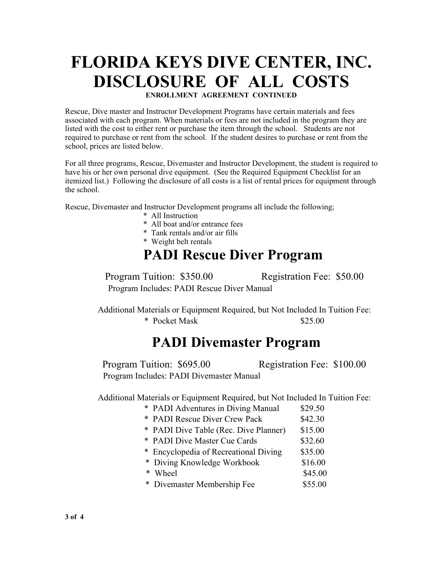# **FLORIDA KEYS DIVE CENTER, INC. DISCLOSURE OF ALL COSTS ENROLLMENT AGREEMENT CONTINUED**

Rescue, Dive master and Instructor Development Programs have certain materials and fees associated with each program. When materials or fees are not included in the program they are listed with the cost to either rent or purchase the item through the school. Students are not required to purchase or rent from the school. If the student desires to purchase or rent from the school, prices are listed below.

For all three programs, Rescue, Divemaster and Instructor Development, the student is required to have his or her own personal dive equipment. (See the Required Equipment Checklist for an itemized list.) Following the disclosure of all costs is a list of rental prices for equipment through the school.

Rescue, Divemaster and Instructor Development programs all include the following;

- \* All Instruction
- \* All boat and/or entrance fees
- \* Tank rentals and/or air fills
- \* Weight belt rentals

# **PADI Rescue Diver Program**

Program Tuition: \$350.00 Registration Fee: \$50.00 Program Includes: PADI Rescue Diver Manual

Additional Materials or Equipment Required, but Not Included In Tuition Fee: \* Pocket Mask \$25.00

# **PADI Divemaster Program**

Program Tuition: \$695.00 Registration Fee: \$100.00 Program Includes: PADI Divemaster Manual

Additional Materials or Equipment Required, but Not Included In Tuition Fee:

- \* PADI Adventures in Diving Manual \$29.50
- \* PADI Rescue Diver Crew Pack \$42.30
- \* PADI Dive Table (Rec. Dive Planner) \$15.00
- \* PADI Dive Master Cue Cards \$32.60
- \* Encyclopedia of Recreational Diving \$35.00
- \* Diving Knowledge Workbook \$16.00
- $*$  Wheel  $\$45.00$
- \* Divemaster Membership Fee \$55.00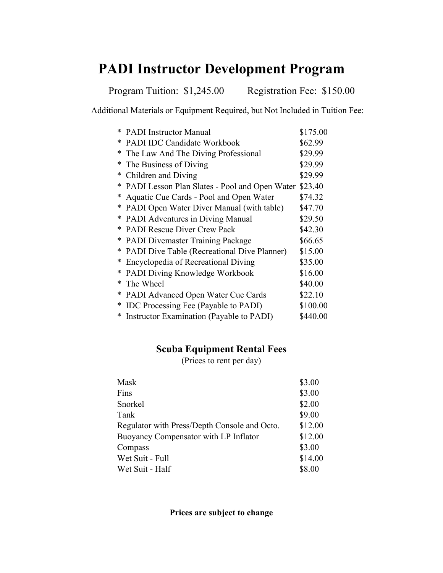# **PADI Instructor Development Program**

Program Tuition: \$1,245.00 Registration Fee: \$150.00

Additional Materials or Equipment Required, but Not Included in Tuition Fee:

|   | * PADI Instructor Manual                      | \$175.00 |
|---|-----------------------------------------------|----------|
| ∗ | <b>PADI IDC Candidate Workbook</b>            | \$62.99  |
| ∗ | The Law And The Diving Professional           | \$29.99  |
| ∗ | The Business of Diving                        | \$29.99  |
| * | Children and Diving                           | \$29.99  |
| ∗ | PADI Lesson Plan Slates - Pool and Open Water | \$23.40  |
| * | Aquatic Cue Cards - Pool and Open Water       | \$74.32  |
| ∗ | PADI Open Water Diver Manual (with table)     | \$47.70  |
| ∗ | <b>PADI</b> Adventures in Diving Manual       | \$29.50  |
| ∗ | <b>PADI Rescue Diver Crew Pack</b>            | \$42.30  |
| ∗ | <b>PADI</b> Divemaster Training Package       | \$66.65  |
| ∗ | PADI Dive Table (Recreational Dive Planner)   | \$15.00  |
| ∗ | Encyclopedia of Recreational Diving           | \$35.00  |
| ∗ | PADI Diving Knowledge Workbook                | \$16.00  |
| * | The Wheel                                     | \$40.00  |
| * | PADI Advanced Open Water Cue Cards            | \$22.10  |
| ∗ | IDC Processing Fee (Payable to PADI)          | \$100.00 |
|   | Instructor Examination (Payable to PADI)      | \$440.00 |

### **Scuba Equipment Rental Fees**

(Prices to rent per day)

| Mask                                         | \$3.00  |
|----------------------------------------------|---------|
| Fins                                         | \$3.00  |
| Snorkel                                      | \$2.00  |
| Tank                                         | \$9.00  |
| Regulator with Press/Depth Console and Octo. | \$12.00 |
| Buoyancy Compensator with LP Inflator        | \$12.00 |
| Compass                                      | \$3.00  |
| Wet Suit - Full                              | \$14.00 |
| Wet Suit - Half                              | \$8.00  |

**Prices are subject to change**